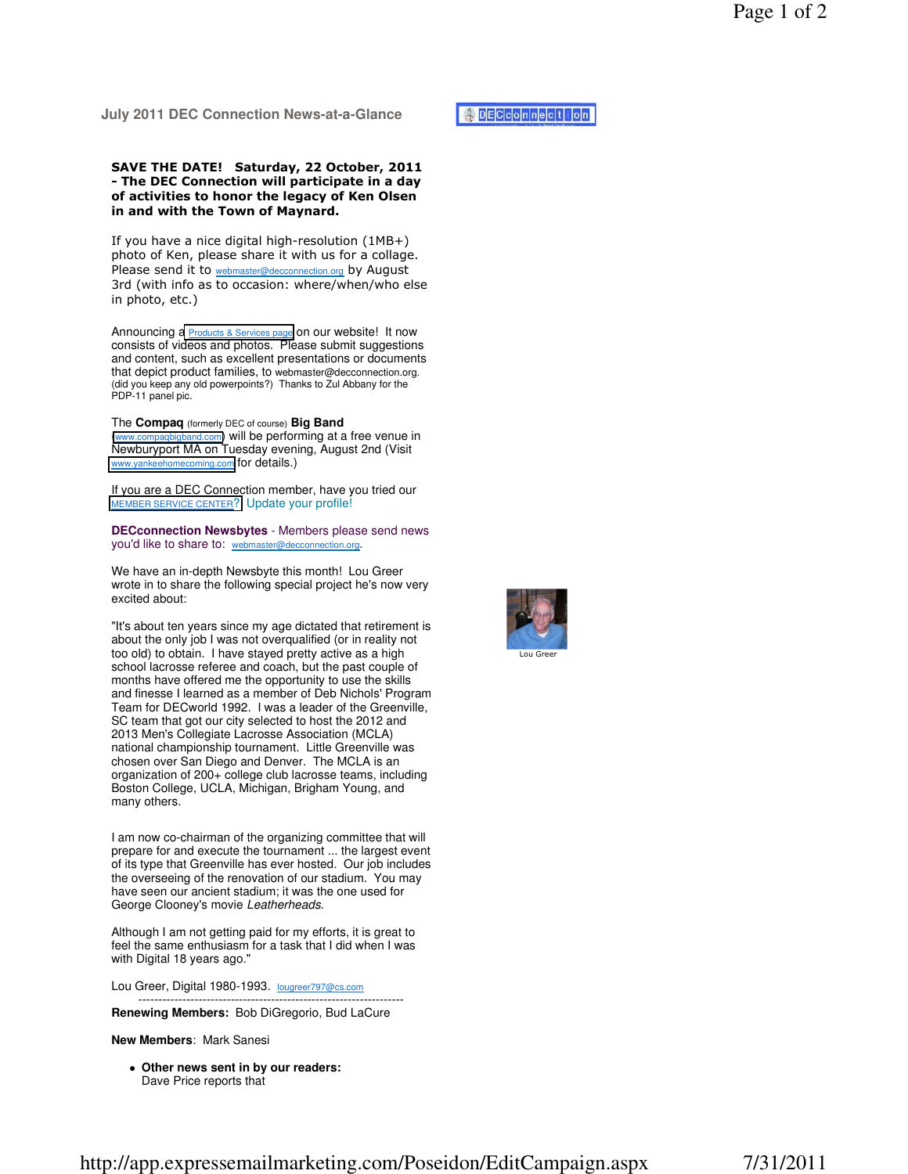## SAVE THE DATE! Saturday, 22 October, 2011 - The DEC Connection will participate in a day of activities to honor the legacy of Ken Olsen in and with the Town of Maynard.

If you have a nice digital high-resolution (1MB+) photo of Ken, please share it with us for a collage. Please send it to webmaster@decconnection.org by August 3rd (with info as to occasion: where/when/who else in photo, etc.)

Announcing a **[Products & Services page](http://www.decconnection.org/product.htm) on our website!** It now consists of videos and photos. Please submit suggestions and content, such as excellent presentations or documents that depict product families, to webmaster@decconnection.org. (did you keep any old powerpoints?) Thanks to Zul Abbany for the PDP-11 panel pic.

The **Compaq** (formerly DEC of course) **Big Band** ([www.compaqbigband.com](http://www.compaqbigband.com)) will be performing at a free venue in Newburyport MA on Tuesday evening, August 2nd (Visit [www.yankeehomecoming.com](http://www.yankeehomecoming.com) for details.)

If you are a DEC Connection member, have you tried our [MEMBER SERVICE CENTER](http://www.decconnection.org/msclogin.php)? Update your profile!

**DECconnection Newsbytes** - Members please send news you'd like to share to: webmaster@decconnection.org.

We have an in-depth Newsbyte this month! Lou Greer wrote in to share the following special project he's now very excited about:

"It's about ten years since my age dictated that retirement is about the only job I was not overqualified (or in reality not too old) to obtain. I have stayed pretty active as a high school lacrosse referee and coach, but the past couple of months have offered me the opportunity to use the skills and finesse I learned as a member of Deb Nichols' Program Team for DECworld 1992. I was a leader of the Greenville, SC team that got our city selected to host the 2012 and 2013 Men's Collegiate Lacrosse Association (MCLA) national championship tournament. Little Greenville was chosen over San Diego and Denver. The MCLA is an organization of 200+ college club lacrosse teams, including Boston College, UCLA, Michigan, Brigham Young, and many others.

I am now co-chairman of the organizing committee that will prepare for and execute the tournament ... the largest event of its type that Greenville has ever hosted. Our job includes the overseeing of the renovation of our stadium. You may have seen our ancient stadium; it was the one used for George Clooney's movie Leatherheads.

Although I am not getting paid for my efforts, it is great to feel the same enthusiasm for a task that I did when I was with Digital 18 years ago."

------------------------------------------------------------------

Lou Greer, Digital 1980-1993. lougreer797@cs.com

**Renewing Members:** Bob DiGregorio, Bud LaCure

## **New Members**: Mark Sanesi

 **Other news sent in by our readers:**  Dave Price reports that



Lou Greer

**DECCOnnection**